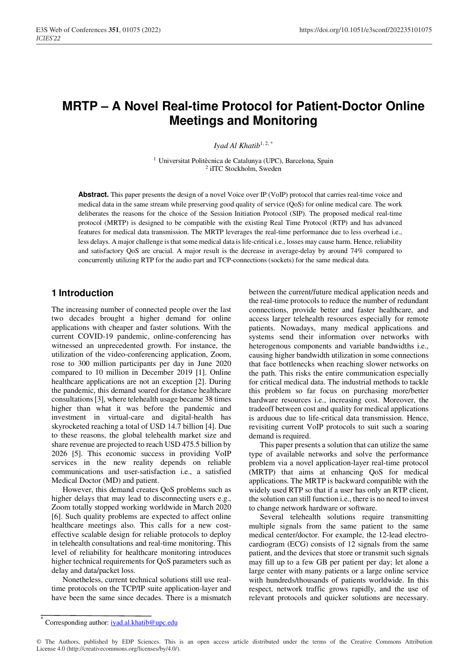# **MRTP – A Novel Real-time Protocol for Patient-Doctor Online Meetings and Monitoring**

*Iyad Al Khatib*1, 2, \*

<sup>1</sup> Universitat Politècnica de Catalunya (UPC), Barcelona, Spain <sup>2</sup> iITC Stockholm, Sweden

**Abstract.** This paper presents the design of a novel Voice over IP (VoIP) protocol that carries real-time voice and medical data in the same stream while preserving good quality of service (QoS) for online medical care. The work deliberates the reasons for the choice of the Session Initiation Protocol (SIP). The proposed medical real-time protocol (MRTP) is designed to be compatible with the existing Real Time Protocol (RTP) and has advanced features for medical data transmission. The MRTP leverages the real-time performance due to less overhead i.e., less delays. A major challenge is that some medical data is life-critical i.e., losses may cause harm. Hence, reliability and satisfactory QoS are crucial. A major result is the decrease in average-delay by around 74% compared to concurrently utilizing RTP for the audio part and TCP-connections (sockets) for the same medical data.

## **1 Introduction**

The increasing number of connected people over the last two decades brought a higher demand for online applications with cheaper and faster solutions. With the current COVID-19 pandemic, online-conferencing has witnessed an unprecedented growth. For instance, the utilization of the video-conferencing application, Zoom, rose to 300 million participants per day in June 2020 compared to 10 million in December 2019 [1]. Online healthcare applications are not an exception [2]. During the pandemic, this demand soared for distance healthcare consultations [3], where telehealth usage became 38 times higher than what it was before the pandemic and investment in virtual-care and digital-health has skyrocketed reaching a total of USD 14.7 billion [4]. Due to these reasons, the global telehealth market size and share revenue are projected to reach USD 475.5 billion by 2026 [5]. This economic success in providing VoIP services in the new reality depends on reliable communications and user-satisfaction i.e., a satisfied Medical Doctor (MD) and patient.

However, this demand creates QoS problems such as higher delays that may lead to disconnecting users e.g., Zoom totally stopped working worldwide in March 2020 [6]. Such quality problems are expected to affect online healthcare meetings also. This calls for a new costeffective scalable design for reliable protocols to deploy in telehealth consultations and real-time monitoring. This level of reliability for healthcare monitoring introduces higher technical requirements for QoS parameters such as delay and data/packet loss.

Nonetheless, current technical solutions still use realtime protocols on the TCP/IP suite application-layer and have been the same since decades. There is a mismatch between the current/future medical application needs and the real-time protocols to reduce the number of redundant connections, provide better and faster healthcare, and access larger telehealth resources especially for remote patients. Nowadays, many medical applications and systems send their information over networks with heterogenous components and variable bandwidths i.e., causing higher bandwidth utilization in some connections that face bottlenecks when reaching slower networks on the path. This risks the entire communication especially for critical medical data. The industrial methods to tackle this problem so far focus on purchasing more/better hardware resources i.e., increasing cost. Moreover, the tradeoff between cost and quality for medical applications is arduous due to life-critical data transmission. Hence, revisiting current VoIP protocols to suit such a soaring demand is required.

This paper presents a solution that can utilize the same type of available networks and solve the performance problem via a novel application-layer real-time protocol (MRTP) that aims at enhancing QoS for medical applications. The MRTP is backward compatible with the widely used RTP so that if a user has only an RTP client, the solution can still function i.e., there is no need to invest to change network hardware or software.

Several telehealth solutions require transmitting multiple signals from the same patient to the same medical center/doctor. For example, the 12-lead electrocardiogram (ECG) consists of 12 signals from the same patient, and the devices that store or transmit such signals may fill up to a few GB per patient per day; let alone a large center with many patients or a large online service with hundreds/thousands of patients worldwide. In this respect, network traffic grows rapidly, and the use of relevant protocols and quicker solutions are necessary.

© The Authors, published by EDP Sciences. This is an open access article distributed under the terms of the Creative Commons Attribution License 4.0 (http://creativecommons.org/licenses/by/4.0/).

<sup>\*</sup> Corresponding author: iyad.al.khatib@upc.edu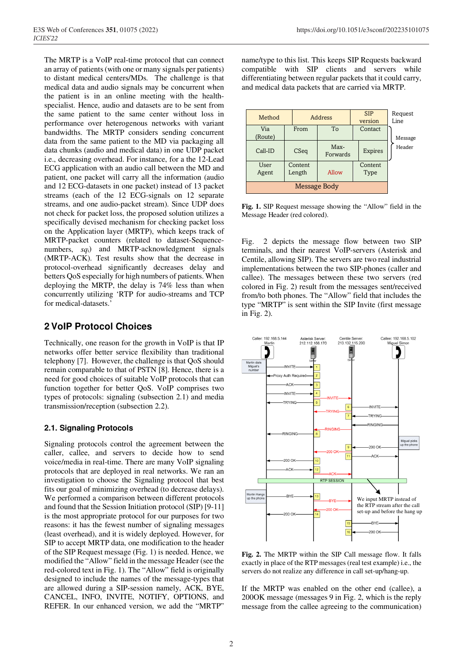The MRTP is a VoIP real-time protocol that can connect an array of patients (with one or many signals per patients) to distant medical centers/MDs. The challenge is that medical data and audio signals may be concurrent when the patient is in an online meeting with the healthspecialist. Hence, audio and datasets are to be sent from the same patient to the same center without loss in performance over heterogenous networks with variant bandwidths. The MRTP considers sending concurrent data from the same patient to the MD via packaging all data chunks (audio and medical data) in one UDP packet i.e., decreasing overhead. For instance, for a the 12-Lead ECG application with an audio call between the MD and patient, one packet will carry all the information (audio and 12 ECG-datasets in one packet) instead of 13 packet streams (each of the 12 ECG-signals on 12 separate streams, and one audio-packet stream). Since UDP does not check for packet loss, the proposed solution utilizes a specifically devised mechanism for checking packet loss on the Application layer (MRTP), which keeps track of MRTP-packet counters (related to dataset-Sequencenumbers, *sq*i) and MRTP-acknowledgment signals (MRTP-ACK). Test results show that the decrease in protocol-overhead significantly decreases delay and betters QoS especially for high numbers of patients. When deploying the MRTP, the delay is 74% less than when concurrently utilizing 'RTP for audio-streams and TCP for medical-datasets.'

## **2 VoIP Protocol Choices**

Technically, one reason for the growth in VoIP is that IP networks offer better service flexibility than traditional telephony [7]. However, the challenge is that QoS should remain comparable to that of PSTN [8]. Hence, there is a need for good choices of suitable VoIP protocols that can function together for better QoS. VoIP comprises two types of protocols: signaling (subsection 2.1) and media transmission/reception (subsection 2.2).

#### **2.1. Signaling Protocols**

Signaling protocols control the agreement between the caller, callee, and servers to decide how to send voice/media in real-time. There are many VoIP signaling protocols that are deployed in real networks. We ran an investigation to choose the Signaling protocol that best fits our goal of minimizing overhead (to decrease delays). We performed a comparison between different protocols and found that the Session Initiation protocol (SIP) [9-11] is the most appropriate protocol for our purposes for two reasons: it has the fewest number of signaling messages (least overhead), and it is widely deployed. However, for SIP to accept MRTP data, one modification to the header of the SIP Request message (Fig. 1) is needed. Hence, we modified the "Allow" field in the message Header (see the red-colored text in Fig. 1). The "Allow" field is originally designed to include the names of the message-types that are allowed during a SIP-session namely, ACK, BYE, CANCEL, INFO, INVITE, NOTIFY, OPTIONS, and REFER. In our enhanced version, we add the "MRTP"

name/type to this list. This keeps SIP Requests backward compatible with SIP clients and servers while differentiating between regular packets that it could carry, and medical data packets that are carried via MRTP.

| Method         |                   | Address          |                 | Request<br>Line   |
|----------------|-------------------|------------------|-----------------|-------------------|
| Via<br>(Route) | From              | To               | Contact         | Message<br>Header |
| Call-ID        | CSeq              | Max-<br>Forwards | <b>Expires</b>  |                   |
| User<br>Agent  | Content<br>Length | Allow            | Content<br>Type |                   |
| Message Body   |                   |                  |                 |                   |

**Fig. 1.** SIP Request message showing the "Allow" field in the Message Header (red colored).

Fig. 2 depicts the message flow between two SIP terminals, and their nearest VoIP-servers (Asterisk and Centile, allowing SIP). The servers are two real industrial implementations between the two SIP-phones (caller and callee). The messages between these two servers (red colored in Fig. 2) result from the messages sent/received from/to both phones. The "Allow" field that includes the type "MRTP" is sent within the SIP Invite (first message in Fig. 2).



**Fig. 2.** The MRTP within the SIP Call message flow. It falls exactly in place of the RTP messages (real test example) i.e., the servers do not realize any difference in call set-up/hang-up.

If the MRTP was enabled on the other end (callee), a 200OK message (messages 9 in Fig. 2, which is the reply message from the callee agreeing to the communication)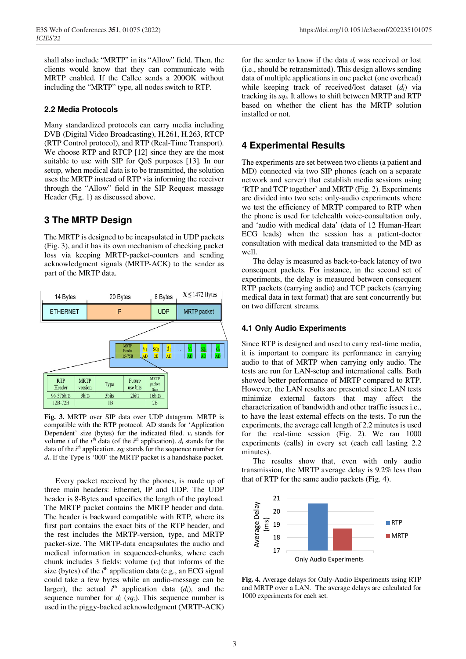shall also include "MRTP" in its "Allow" field. Then, the clients would know that they can communicate with MRTP enabled. If the Callee sends a 200OK without including the "MRTP" type, all nodes switch to RTP.

#### **2.2 Media Protocols**

Many standardized protocols can carry media including DVB (Digital Video Broadcasting), H.261, H.263, RTCP (RTP Control protocol), and RTP (Real-Time Transport). We choose RTP and RTCP [12] since they are the most suitable to use with SIP for QoS purposes [13]. In our setup, when medical data is to be transmitted, the solution uses the MRTP instead of RTP via informing the receiver through the "Allow" field in the SIP Request message Header (Fig. 1) as discussed above.

## **3 The MRTP Design**

The MRTP is designed to be incapsulated in UDP packets (Fig. 3), and it has its own mechanism of checking packet loss via keeping MRTP-packet-counters and sending acknowledgment signals (MRTP-ACK) to the sender as part of the MRTP data.



**Fig. 3.** MRTP over SIP data over UDP datagram. MRTP is compatible with the RTP protocol. AD stands for 'Application Dependent' size (bytes) for the indicated filed.  $v_i$  stands for volume *i* of the  $i^{th}$  data (of the  $i^{th}$  application).  $d_i$  stands for the data of the *i*<sup>th</sup> application. *sqi* stands for the sequence number for *di*. If the Type is '000' the MRTP packet is a handshake packet.

Every packet received by the phones, is made up of three main headers: Ethernet, IP and UDP. The UDP header is 8-Bytes and specifies the length of the payload. The MRTP packet contains the MRTP header and data. The header is backward compatible with RTP, where its first part contains the exact bits of the RTP header, and the rest includes the MRTP-version, type, and MRTP packet-size. The MRTP-data encapsulates the audio and medical information in sequenced-chunks, where each chunk includes 3 fields: volume (*vi*) that informs of the size (bytes) of the *i*<sup>th</sup> application data (e.g., an ECG signal could take a few bytes while an audio-message can be larger), the actual  $i<sup>th</sup>$  application data  $(d<sub>i</sub>)$ , and the sequence number for  $d_i$  ( $sq_i$ ). This sequence number is used in the piggy-backed acknowledgment (MRTP-ACK)

for the sender to know if the data *di* was received or lost (i.e., should be retransmitted). This design allows sending data of multiple applications in one packet (one overhead) while keeping track of received/lost dataset (*di*) via tracking its *sqi*. It allows to shift between MRTP and RTP based on whether the client has the MRTP solution installed or not.

### **4 Experimental Results**

The experiments are set between two clients (a patient and MD) connected via two SIP phones (each on a separate network and server) that establish media sessions using 'RTP and TCP together' and MRTP (Fig. 2). Experiments are divided into two sets: only-audio experiments where we test the efficiency of MRTP compared to RTP when the phone is used for telehealth voice-consultation only, and 'audio with medical data' (data of 12 Human-Heart ECG leads) when the session has a patient-doctor consultation with medical data transmitted to the MD as well.

The delay is measured as back-to-back latency of two consequent packets. For instance, in the second set of experiments, the delay is measured between consequent RTP packets (carrying audio) and TCP packets (carrying medical data in text format) that are sent concurrently but on two different streams.

#### **4.1 Only Audio Experiments**

Since RTP is designed and used to carry real-time media, it is important to compare its performance in carrying audio to that of MRTP when carrying only audio. The tests are run for LAN-setup and international calls. Both showed better performance of MRTP compared to RTP. However, the LAN results are presented since LAN tests minimize external factors that may affect the characterization of bandwidth and other traffic issues i.e., to have the least external effects on the tests. To run the experiments, the average call length of 2.2 minutes is used for the real-time session (Fig. 2). We ran 1000 experiments (calls) in every set (each call lasting 2.2 minutes).

The results show that, even with only audio transmission, the MRTP average delay is 9.2% less than that of RTP for the same audio packets (Fig. 4).



**Fig. 4.** Average delays for Only-Audio Experiments using RTP and MRTP over a LAN. The average delays are calculated for 1000 experiments for each set.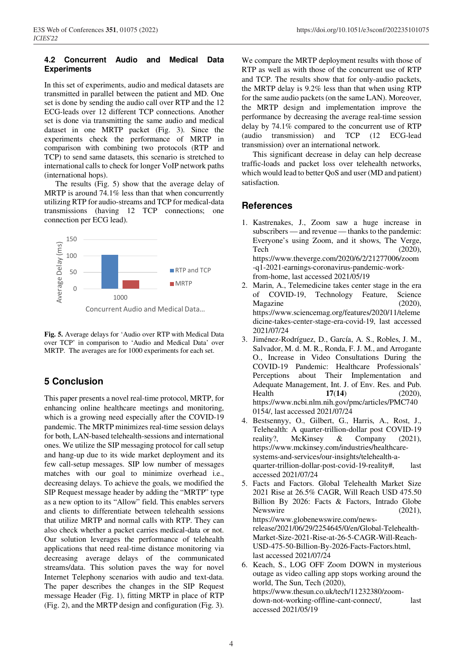#### **4.2 Concurrent Audio and Medical Data Experiments**

In this set of experiments, audio and medical datasets are transmitted in parallel between the patient and MD. One set is done by sending the audio call over RTP and the 12 ECG-leads over 12 different TCP connections. Another set is done via transmitting the same audio and medical dataset in one MRTP packet (Fig. 3). Since the experiments check the performance of MRTP in comparison with combining two protocols (RTP and TCP) to send same datasets, this scenario is stretched to international calls to check for longer VoIP network paths (international hops).

The results (Fig. 5) show that the average delay of MRTP is around 74.1% less than that when concurrently utilizing RTP for audio-streams and TCP for medical-data transmissions (having 12 TCP connections; one connection per ECG lead).



**Fig. 5.** Average delays for 'Audio over RTP with Medical Data over TCP' in comparison to 'Audio and Medical Data' over MRTP. The averages are for 1000 experiments for each set.

# **5 Conclusion**

This paper presents a novel real-time protocol, MRTP, for enhancing online healthcare meetings and monitoring, which is a growing need especially after the COVID-19 pandemic. The MRTP minimizes real-time session delays for both, LAN-based telehealth-sessions and international ones. We utilize the SIP messaging protocol for call setup and hang-up due to its wide market deployment and its few call-setup messages. SIP low number of messages matches with our goal to minimize overhead i.e., decreasing delays. To achieve the goals, we modified the SIP Request message header by adding the "MRTP" type as a new option to its "Allow" field. This enables servers and clients to differentiate between telehealth sessions that utilize MRTP and normal calls with RTP. They can also check whether a packet carries medical-data or not. Our solution leverages the performance of telehealth applications that need real-time distance monitoring via decreasing average delays of the communicated streams/data. This solution paves the way for novel Internet Telephony scenarios with audio and text-data. The paper describes the changes in the SIP Request message Header (Fig. 1), fitting MRTP in place of RTP (Fig. 2), and the MRTP design and configuration (Fig. 3).

We compare the MRTP deployment results with those of RTP as well as with those of the concurrent use of RTP and TCP. The results show that for only-audio packets, the MRTP delay is 9.2% less than that when using RTP for the same audio packets (on the same LAN). Moreover, the MRTP design and implementation improve the performance by decreasing the average real-time session delay by 74.1% compared to the concurrent use of RTP (audio transmission) and TCP (12 ECG-lead transmission) over an international network.

This significant decrease in delay can help decrease traffic-loads and packet loss over telehealth networks, which would lead to better QoS and user (MD and patient) satisfaction.

# **References**

- 1. Kastrenakes, J., Zoom saw a huge increase in subscribers — and revenue — thanks to the pandemic: Everyone's using Zoom, and it shows, The Verge, Tech  $(2020)$ , https://www.theverge.com/2020/6/2/21277006/zoom -q1-2021-earnings-coronavirus-pandemic-workfrom-home, last accessed 2021/05/19
- Marin, A., Telemedicine takes center stage in the era of COVID-19, Technology Feature, Science Magazine (2020), https://www.sciencemag.org/features/2020/11/teleme dicine-takes-center-stage-era-covid-19, last accessed 2021/07/24
- 3. Jiménez-Rodríguez, D., García, A. S., Robles, J. M., Salvador, M. d. M. R., Ronda, F. J. M., and Arrogante O., Increase in Video Consultations During the COVID-19 Pandemic: Healthcare Professionals' Perceptions about Their Implementation and Adequate Management, Int. J. of Env. Res. and Pub. Health **17**(**14**) (2020), https://www.ncbi.nlm.nih.gov/pmc/articles/PMC740 0154/, last accessed 2021/07/24
- 4. Bestsennyy, O., Gilbert, G., Harris, A., Rost, J., Telehealth: A quarter-trillion-dollar post COVID-19 reality?, McKinsey & Company (2021), https://www.mckinsey.com/industries/healthcaresystems-and-services/our-insights/telehealth-aquarter-trillion-dollar-post-covid-19-reality#, last accessed 2021/07/24
- 5. Facts and Factors. Global Telehealth Market Size 2021 Rise at 26.5% CAGR, Will Reach USD 475.50 Billion By 2026: Facts & Factors, Intrado Globe Newswire (2021), https://www.globenewswire.com/newsrelease/2021/06/29/2254645/0/en/Global-Telehealth-Market-Size-2021-Rise-at-26-5-CAGR-Will-Reach-USD-475-50-Billion-By-2026-Facts-Factors.html, last accessed 2021/07/24
- 6. Keach, S., LOG OFF Zoom DOWN in mysterious outage as video calling app stops working around the world, The Sun, Tech (2020), https://www.thesun.co.uk/tech/11232380/zoomdown-not-working-offline-cant-connect/, last accessed 2021/05/19